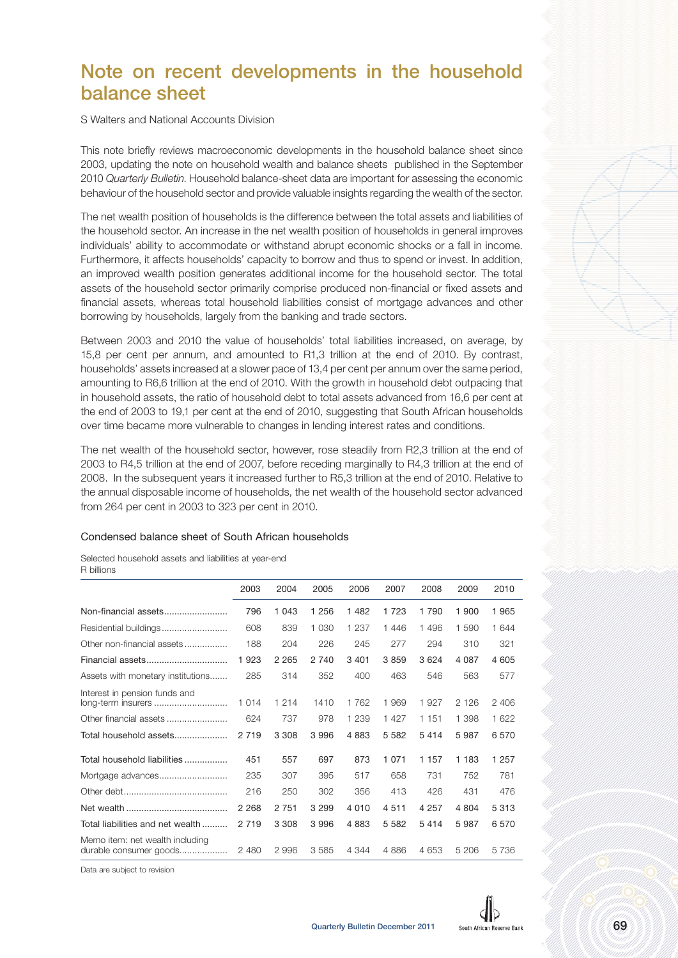## Note on recent developments in the household balance sheet

S Walters and National Accounts Division

This note briefly reviews macroeconomic developments in the household balance sheet since 2003, updating the note on household wealth and balance sheets published in the September 2010 Quarterly Bulletin. Household balance-sheet data are important for assessing the economic behaviour of the household sector and provide valuable insights regarding the wealth of the sector.

The net wealth position of households is the difference between the total assets and liabilities of the household sector. An increase in the net wealth position of households in general improves individuals' ability to accommodate or withstand abrupt economic shocks or a fall in income. Furthermore, it affects households' capacity to borrow and thus to spend or invest. In addition, an improved wealth position generates additional income for the household sector. The total assets of the household sector primarily comprise produced non-financial or fixed assets and financial assets, whereas total household liabilities consist of mortgage advances and other borrowing by households, largely from the banking and trade sectors.

Between 2003 and 2010 the value of households' total liabilities increased, on average, by 15,8 per cent per annum, and amounted to R1,3 trillion at the end of 2010. By contrast, households' assets increased at a slower pace of 13,4 per cent per annum over the same period, amounting to R6,6 trillion at the end of 2010. With the growth in household debt outpacing that in household assets, the ratio of household debt to total assets advanced from 16,6 per cent at the end of 2003 to 19,1 per cent at the end of 2010, suggesting that South African households over time became more vulnerable to changes in lending interest rates and conditions.

The net wealth of the household sector, however, rose steadily from R2,3 trillion at the end of 2003 to R4,5 trillion at the end of 2007, before receding marginally to R4,3 trillion at the end of 2008. In the subsequent years it increased further to R5,3 trillion at the end of 2010. Relative to the annual disposable income of households, the net wealth of the household sector advanced from 264 per cent in 2003 to 323 per cent in 2010.

## Condensed balance sheet of South African households

Selected household assets and liabilities at year-end R billions

|                                                           | 2003    | 2004    | 2005    | 2006    | 2007    | 2008    | 2009    | 2010    |
|-----------------------------------------------------------|---------|---------|---------|---------|---------|---------|---------|---------|
|                                                           | 796     | 1 043   | 1 256   | 1 4 8 2 | 1 7 2 3 | 1 7 9 0 | 1 900   | 1 9 6 5 |
| Residential buildings                                     | 608     | 839     | 1 0 3 0 | 1 2 3 7 | 1446    | 1496    | 1 590   | 1644    |
| Other non-financial assets                                | 188     | 204     | 226     | 245     | 277     | 294     | 310     | 321     |
|                                                           | 1 923   | 2 2 6 5 | 2 740   | 3 4 0 1 | 3859    | 3 6 2 4 | 4 0 8 7 | 4 605   |
| Assets with monetary institutions                         | 285     | 314     | 352     | 400     | 463     | 546     | 563     | 577     |
| Interest in pension funds and<br>long-term insurers       | 1014    | 1 2 1 4 | 1410    | 1762    | 1969    | 1 927   | 2 1 2 6 | 2 4 0 6 |
| Other financial assets                                    | 624     | 737     | 978     | 1 2 3 9 | 1 4 2 7 | 1 151   | 1 3 9 8 | 1 622   |
| Total household assets                                    | 2 7 1 9 | 3 3 0 8 | 3996    | 4883    | 5 5 8 2 | 5414    | 5987    | 6 5 7 0 |
| Total household liabilities                               | 451     | 557     | 697     | 873     | 1 0 7 1 | 1 1 5 7 | 1 1 8 3 | 1 2 5 7 |
|                                                           | 235     | 307     | 395     | 517     | 658     | 731     | 752     | 781     |
|                                                           | 216     | 250     | 302     | 356     | 413     | 426     | 431     | 476     |
|                                                           | 2 2 6 8 | 2 7 5 1 | 3 2 9 9 | 4 0 1 0 | 4511    | 4 2 5 7 | 4 8 0 4 | 5 3 1 3 |
| Total liabilities and net wealth                          | 2 7 1 9 | 3 3 0 8 | 3 9 9 6 | 4883    | 5 5 8 2 | 5414    | 5987    | 6 5 7 0 |
| Memo item: net wealth including<br>durable consumer goods | 2 4 8 0 | 2996    | 3585    | 4 344   | 4886    | 4 6 5 3 | 5 206   | 5736    |

Data are subject to revision

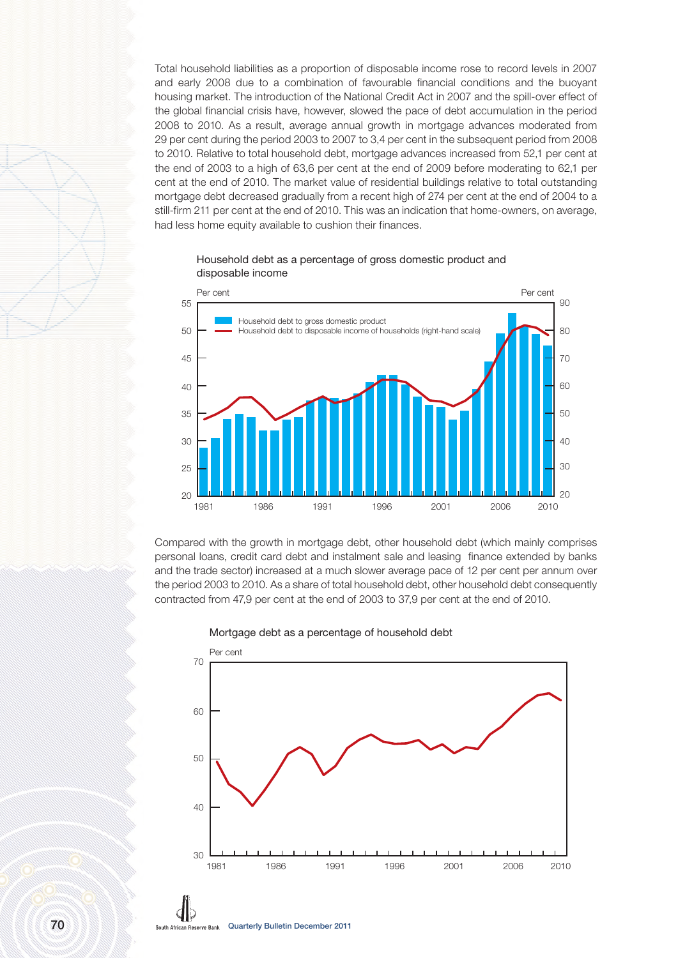Total household liabilities as a proportion of disposable income rose to record levels in 2007 and early 2008 due to a combination of favourable financial conditions and the buoyant housing market. The introduction of the National Credit Act in 2007 and the spill-over effect of the global financial crisis have, however, slowed the pace of debt accumulation in the period 2008 to 2010. As a result, average annual growth in mortgage advances moderated from 29 per cent during the period 2003 to 2007 to 3,4 per cent in the subsequent period from 2008 to 2010. Relative to total household debt, mortgage advances increased from 52,1 per cent at the end of 2003 to a high of 63,6 per cent at the end of 2009 before moderating to 62,1 per cent at the end of 2010. The market value of residential buildings relative to total outstanding mortgage debt decreased gradually from a recent high of 274 per cent at the end of 2004 to a still-firm 211 per cent at the end of 2010. This was an indication that home-owners, on average, had less home equity available to cushion their finances.



## Household debt as a percentage of gross domestic product and disposable income

Compared with the growth in mortgage debt, other household debt (which mainly comprises personal loans, credit card debt and instalment sale and leasing finance extended by banks and the trade sector) increased at a much slower average pace of 12 per cent per annum over the period 2003 to 2010. As a share of total household debt, other household debt consequently contracted from 47,9 per cent at the end of 2003 to 37,9 per cent at the end of 2010.

Mortgage debt as a percentage of household debt

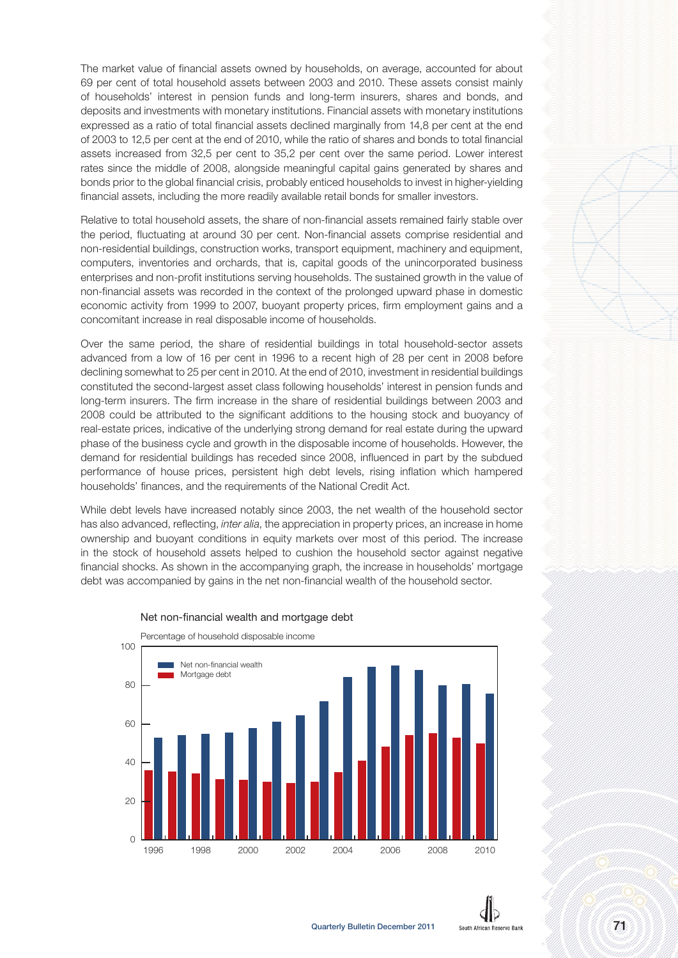The market value of financial assets owned by households, on average, accounted for about 69 per cent of total household assets between 2003 and 2010. These assets consist mainly of households' interest in pension funds and long-term insurers, shares and bonds, and deposits and investments with monetary institutions. Financial assets with monetary institutions expressed as a ratio of total financial assets declined marginally from 14,8 per cent at the end of 2003 to 12,5 per cent at the end of 2010, while the ratio of shares and bonds to total financial assets increased from 32,5 per cent to 35,2 per cent over the same period. Lower interest rates since the middle of 2008, alongside meaningful capital gains generated by shares and bonds prior to the global financial crisis, probably enticed households to invest in higher-yielding financial assets, including the more readily available retail bonds for smaller investors.

Relative to total household assets, the share of non-financial assets remained fairly stable over the period, fluctuating at around 30 per cent. Non-financial assets comprise residential and non-residential buildings, construction works, transport equipment, machinery and equipment, computers, inventories and orchards, that is, capital goods of the unincorporated business enterprises and non-profit institutions serving households. The sustained growth in the value of non-financial assets was recorded in the context of the prolonged upward phase in domestic economic activity from 1999 to 2007, buoyant property prices, firm employment gains and a concomitant increase in real disposable income of households.

Over the same period, the share of residential buildings in total household-sector assets advanced from a low of 16 per cent in 1996 to a recent high of 28 per cent in 2008 before declining somewhat to 25 per cent in 2010. At the end of 2010, investment in residential buildings constituted the second-largest asset class following households' interest in pension funds and long-term insurers. The firm increase in the share of residential buildings between 2003 and 2008 could be attributed to the significant additions to the housing stock and buoyancy of real-estate prices, indicative of the underlying strong demand for real estate during the upward phase of the business cycle and growth in the disposable income of households. However, the demand for residential buildings has receded since 2008, influenced in part by the subdued performance of house prices, persistent high debt levels, rising inflation which hampered households' finances, and the requirements of the National Credit Act.

While debt levels have increased notably since 2003, the net wealth of the household sector has also advanced, reflecting, inter alia, the appreciation in property prices, an increase in home ownership and buoyant conditions in equity markets over most of this period. The increase in the stock of household assets helped to cushion the household sector against negative financial shocks. As shown in the accompanying graph, the increase in households' mortgage debt was accompanied by gains in the net non-financial wealth of the household sector.



Net non-financial wealth and mortgage debt